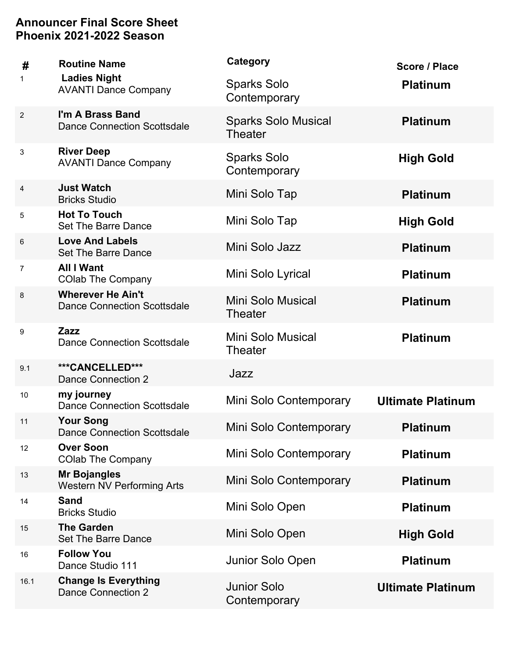| #              | <b>Routine Name</b>                                            | Category                                     | Score / Place            |
|----------------|----------------------------------------------------------------|----------------------------------------------|--------------------------|
| 1              | <b>Ladies Night</b><br><b>AVANTI Dance Company</b>             | <b>Sparks Solo</b><br>Contemporary           | <b>Platinum</b>          |
| $\overline{2}$ | I'm A Brass Band<br><b>Dance Connection Scottsdale</b>         | <b>Sparks Solo Musical</b><br><b>Theater</b> | <b>Platinum</b>          |
| 3              | <b>River Deep</b><br><b>AVANTI Dance Company</b>               | <b>Sparks Solo</b><br>Contemporary           | <b>High Gold</b>         |
| $\overline{4}$ | <b>Just Watch</b><br><b>Bricks Studio</b>                      | Mini Solo Tap                                | <b>Platinum</b>          |
| 5              | <b>Hot To Touch</b><br>Set The Barre Dance                     | Mini Solo Tap                                | <b>High Gold</b>         |
| 6              | <b>Love And Labels</b><br><b>Set The Barre Dance</b>           | Mini Solo Jazz                               | <b>Platinum</b>          |
| 7              | <b>All I Want</b><br><b>COlab The Company</b>                  | Mini Solo Lyrical                            | <b>Platinum</b>          |
| 8              | <b>Wherever He Ain't</b><br><b>Dance Connection Scottsdale</b> | Mini Solo Musical<br><b>Theater</b>          | <b>Platinum</b>          |
| 9              | Zazz<br><b>Dance Connection Scottsdale</b>                     | <b>Mini Solo Musical</b><br><b>Theater</b>   | <b>Platinum</b>          |
| 9.1            | ***CANCELLED***<br>Dance Connection 2                          | Jazz                                         |                          |
| 10             | my journey<br><b>Dance Connection Scottsdale</b>               | Mini Solo Contemporary                       | <b>Ultimate Platinum</b> |
| 11             | <b>Your Song</b><br><b>Dance Connection Scottsdale</b>         | Mini Solo Contemporary                       | <b>Platinum</b>          |
| 12             | <b>Over Soon</b><br><b>COlab The Company</b>                   | Mini Solo Contemporary                       | <b>Platinum</b>          |
| 13             | <b>Mr Bojangles</b><br>Western NV Performing Arts              | Mini Solo Contemporary                       | <b>Platinum</b>          |
| 14             | <b>Sand</b><br><b>Bricks Studio</b>                            | Mini Solo Open                               | <b>Platinum</b>          |
| 15             | <b>The Garden</b><br><b>Set The Barre Dance</b>                | Mini Solo Open                               | <b>High Gold</b>         |
| 16             | <b>Follow You</b><br>Dance Studio 111                          | Junior Solo Open                             | <b>Platinum</b>          |
| 16.1           | <b>Change Is Everything</b><br>Dance Connection 2              | <b>Junior Solo</b><br>Contemporary           | <b>Ultimate Platinum</b> |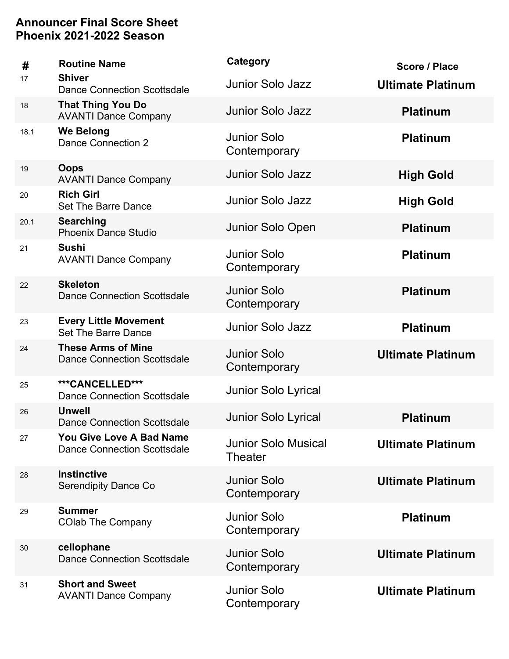| #    | <b>Routine Name</b>                                                   | Category                                     | Score / Place            |
|------|-----------------------------------------------------------------------|----------------------------------------------|--------------------------|
| 17   | <b>Shiver</b><br><b>Dance Connection Scottsdale</b>                   | <b>Junior Solo Jazz</b>                      | <b>Ultimate Platinum</b> |
| 18   | <b>That Thing You Do</b><br><b>AVANTI Dance Company</b>               | <b>Junior Solo Jazz</b>                      | <b>Platinum</b>          |
| 18.1 | <b>We Belong</b><br>Dance Connection 2                                | <b>Junior Solo</b><br>Contemporary           | <b>Platinum</b>          |
| 19   | <b>Oops</b><br><b>AVANTI Dance Company</b>                            | <b>Junior Solo Jazz</b>                      | <b>High Gold</b>         |
| 20   | <b>Rich Girl</b><br>Set The Barre Dance                               | Junior Solo Jazz                             | <b>High Gold</b>         |
| 20.1 | <b>Searching</b><br><b>Phoenix Dance Studio</b>                       | Junior Solo Open                             | <b>Platinum</b>          |
| 21   | <b>Sushi</b><br><b>AVANTI Dance Company</b>                           | <b>Junior Solo</b><br>Contemporary           | <b>Platinum</b>          |
| 22   | <b>Skeleton</b><br><b>Dance Connection Scottsdale</b>                 | <b>Junior Solo</b><br>Contemporary           | <b>Platinum</b>          |
| 23   | <b>Every Little Movement</b><br><b>Set The Barre Dance</b>            | <b>Junior Solo Jazz</b>                      | <b>Platinum</b>          |
| 24   | <b>These Arms of Mine</b><br><b>Dance Connection Scottsdale</b>       | <b>Junior Solo</b><br>Contemporary           | <b>Ultimate Platinum</b> |
| 25   | ***CANCELLED***<br><b>Dance Connection Scottsdale</b>                 | <b>Junior Solo Lyrical</b>                   |                          |
| 26   | <b>Unwell</b><br><b>Dance Connection Scottsdale</b>                   | <b>Junior Solo Lyrical</b>                   | <b>Platinum</b>          |
| 27   | <b>You Give Love A Bad Name</b><br><b>Dance Connection Scottsdale</b> | <b>Junior Solo Musical</b><br><b>Theater</b> | <b>Ultimate Platinum</b> |
| 28   | <b>Instinctive</b><br><b>Serendipity Dance Co</b>                     | <b>Junior Solo</b><br>Contemporary           | <b>Ultimate Platinum</b> |
| 29   | <b>Summer</b><br><b>COlab The Company</b>                             | <b>Junior Solo</b><br>Contemporary           | <b>Platinum</b>          |
| 30   | cellophane<br><b>Dance Connection Scottsdale</b>                      | <b>Junior Solo</b><br>Contemporary           | <b>Ultimate Platinum</b> |
| 31   | <b>Short and Sweet</b><br><b>AVANTI Dance Company</b>                 | <b>Junior Solo</b><br>Contemporary           | <b>Ultimate Platinum</b> |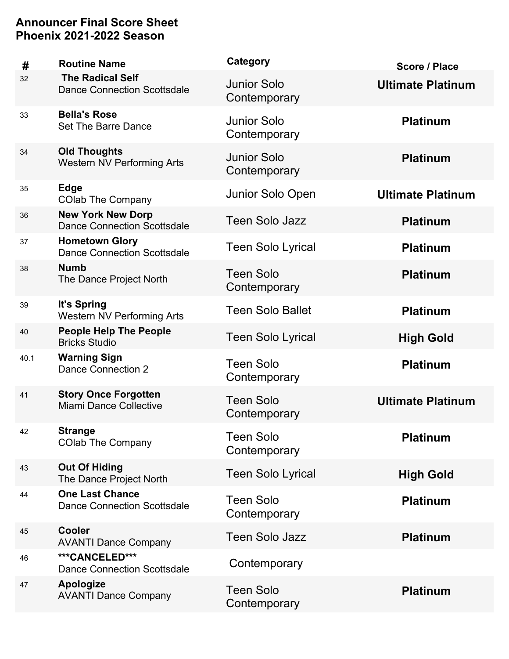| #    | <b>Routine Name</b>                                            | Category                           | Score / Place            |
|------|----------------------------------------------------------------|------------------------------------|--------------------------|
| 32   | <b>The Radical Self</b><br><b>Dance Connection Scottsdale</b>  | <b>Junior Solo</b><br>Contemporary | <b>Ultimate Platinum</b> |
| 33   | <b>Bella's Rose</b><br><b>Set The Barre Dance</b>              | <b>Junior Solo</b><br>Contemporary | <b>Platinum</b>          |
| 34   | <b>Old Thoughts</b><br><b>Western NV Performing Arts</b>       | <b>Junior Solo</b><br>Contemporary | <b>Platinum</b>          |
| 35   | <b>Edge</b><br><b>COlab The Company</b>                        | Junior Solo Open                   | <b>Ultimate Platinum</b> |
| 36   | <b>New York New Dorp</b><br><b>Dance Connection Scottsdale</b> | <b>Teen Solo Jazz</b>              | <b>Platinum</b>          |
| 37   | <b>Hometown Glory</b><br><b>Dance Connection Scottsdale</b>    | <b>Teen Solo Lyrical</b>           | <b>Platinum</b>          |
| 38   | <b>Numb</b><br>The Dance Project North                         | <b>Teen Solo</b><br>Contemporary   | <b>Platinum</b>          |
| 39   | It's Spring<br><b>Western NV Performing Arts</b>               | <b>Teen Solo Ballet</b>            | <b>Platinum</b>          |
| 40   | <b>People Help The People</b><br><b>Bricks Studio</b>          | <b>Teen Solo Lyrical</b>           | <b>High Gold</b>         |
| 40.1 | <b>Warning Sign</b><br><b>Dance Connection 2</b>               | <b>Teen Solo</b><br>Contemporary   | <b>Platinum</b>          |
| 41   | <b>Story Once Forgotten</b><br>Miami Dance Collective          | <b>Teen Solo</b><br>Contemporary   | <b>Ultimate Platinum</b> |
| 42   | <b>Strange</b><br><b>COlab The Company</b>                     | <b>Teen Solo</b><br>Contemporary   | <b>Platinum</b>          |
| 43   | <b>Out Of Hiding</b><br>The Dance Project North                | <b>Teen Solo Lyrical</b>           | <b>High Gold</b>         |
| 44   | <b>One Last Chance</b><br><b>Dance Connection Scottsdale</b>   | <b>Teen Solo</b><br>Contemporary   | <b>Platinum</b>          |
| 45   | <b>Cooler</b><br><b>AVANTI Dance Company</b>                   | <b>Teen Solo Jazz</b>              | <b>Platinum</b>          |
| 46   | ***CANCELED***<br><b>Dance Connection Scottsdale</b>           | Contemporary                       |                          |
| 47   | <b>Apologize</b><br><b>AVANTI Dance Company</b>                | <b>Teen Solo</b><br>Contemporary   | <b>Platinum</b>          |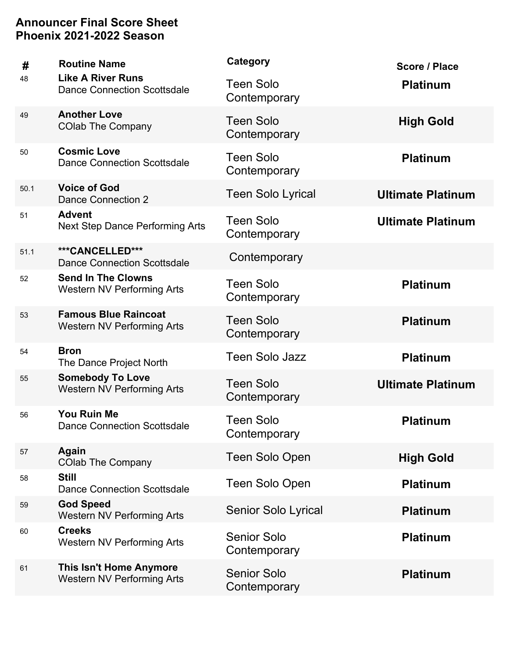| #    | <b>Routine Name</b>                                              | Category                           | Score / Place            |
|------|------------------------------------------------------------------|------------------------------------|--------------------------|
| 48   | <b>Like A River Runs</b><br>Dance Connection Scottsdale          | <b>Teen Solo</b><br>Contemporary   | <b>Platinum</b>          |
| 49   | <b>Another Love</b><br><b>COlab The Company</b>                  | <b>Teen Solo</b><br>Contemporary   | <b>High Gold</b>         |
| 50   | <b>Cosmic Love</b><br><b>Dance Connection Scottsdale</b>         | <b>Teen Solo</b><br>Contemporary   | <b>Platinum</b>          |
| 50.1 | <b>Voice of God</b><br>Dance Connection 2                        | <b>Teen Solo Lyrical</b>           | <b>Ultimate Platinum</b> |
| 51   | <b>Advent</b><br><b>Next Step Dance Performing Arts</b>          | <b>Teen Solo</b><br>Contemporary   | <b>Ultimate Platinum</b> |
| 51.1 | ***CANCELLED***<br><b>Dance Connection Scottsdale</b>            | Contemporary                       |                          |
| 52   | <b>Send In The Clowns</b><br><b>Western NV Performing Arts</b>   | <b>Teen Solo</b><br>Contemporary   | <b>Platinum</b>          |
| 53   | <b>Famous Blue Raincoat</b><br><b>Western NV Performing Arts</b> | <b>Teen Solo</b><br>Contemporary   | <b>Platinum</b>          |
| 54   | <b>Bron</b><br>The Dance Project North                           | <b>Teen Solo Jazz</b>              | <b>Platinum</b>          |
| 55   | <b>Somebody To Love</b><br><b>Western NV Performing Arts</b>     | <b>Teen Solo</b><br>Contemporary   | <b>Ultimate Platinum</b> |
| 56   | <b>You Ruin Me</b><br><b>Dance Connection Scottsdale</b>         | <b>Teen Solo</b><br>Contemporary   | <b>Platinum</b>          |
| 57   | Again<br><b>COlab The Company</b>                                | <b>Teen Solo Open</b>              | <b>High Gold</b>         |
| 58   | <b>Still</b><br><b>Dance Connection Scottsdale</b>               | Teen Solo Open                     | <b>Platinum</b>          |
| 59   | <b>God Speed</b><br><b>Western NV Performing Arts</b>            | Senior Solo Lyrical                | <b>Platinum</b>          |
| 60   | <b>Creeks</b><br><b>Western NV Performing Arts</b>               | <b>Senior Solo</b><br>Contemporary | <b>Platinum</b>          |
| 61   | <b>This Isn't Home Anymore</b><br>Western NV Performing Arts     | <b>Senior Solo</b><br>Contemporary | <b>Platinum</b>          |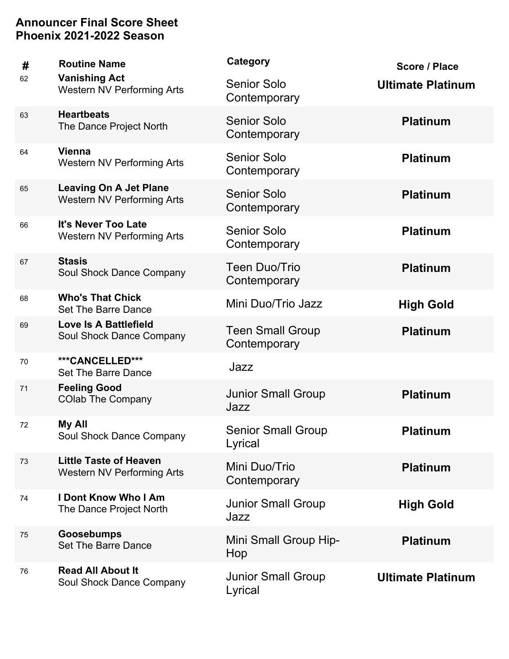| #  | <b>Routine Name</b>                                                | Category                                | Score / Place            |
|----|--------------------------------------------------------------------|-----------------------------------------|--------------------------|
| 62 | <b>Vanishing Act</b><br><b>Western NV Performing Arts</b>          | <b>Senior Solo</b><br>Contemporary      | <b>Ultimate Platinum</b> |
| 63 | <b>Heartbeats</b><br>The Dance Project North                       | <b>Senior Solo</b><br>Contemporary      | <b>Platinum</b>          |
| 64 | <b>Vienna</b><br><b>Western NV Performing Arts</b>                 | <b>Senior Solo</b><br>Contemporary      | <b>Platinum</b>          |
| 65 | <b>Leaving On A Jet Plane</b><br><b>Western NV Performing Arts</b> | <b>Senior Solo</b><br>Contemporary      | <b>Platinum</b>          |
| 66 | It's Never Too Late<br><b>Western NV Performing Arts</b>           | <b>Senior Solo</b><br>Contemporary      | <b>Platinum</b>          |
| 67 | <b>Stasis</b><br>Soul Shock Dance Company                          | <b>Teen Duo/Trio</b><br>Contemporary    | <b>Platinum</b>          |
| 68 | <b>Who's That Chick</b><br><b>Set The Barre Dance</b>              | Mini Duo/Trio Jazz                      | <b>High Gold</b>         |
| 69 | <b>Love Is A Battlefield</b><br>Soul Shock Dance Company           | <b>Teen Small Group</b><br>Contemporary | <b>Platinum</b>          |
| 70 | ***CANCELLED***<br>Set The Barre Dance                             | Jazz                                    |                          |
| 71 | <b>Feeling Good</b><br><b>COlab The Company</b>                    | <b>Junior Small Group</b><br>Jazz       | <b>Platinum</b>          |
| 72 | My All<br>Soul Shock Dance Company                                 | <b>Senior Small Group</b><br>Lyrical    | <b>Platinum</b>          |
| 73 | <b>Little Taste of Heaven</b><br>Western NV Performing Arts        | Mini Duo/Trio<br>Contemporary           | <b>Platinum</b>          |
| 74 | <b>I Dont Know Who I Am</b><br>The Dance Project North             | <b>Junior Small Group</b><br>Jazz       | <b>High Gold</b>         |
| 75 | <b>Goosebumps</b><br><b>Set The Barre Dance</b>                    | Mini Small Group Hip-<br>Hop            | <b>Platinum</b>          |
| 76 | <b>Read All About It</b><br>Soul Shock Dance Company               | <b>Junior Small Group</b><br>Lyrical    | <b>Ultimate Platinum</b> |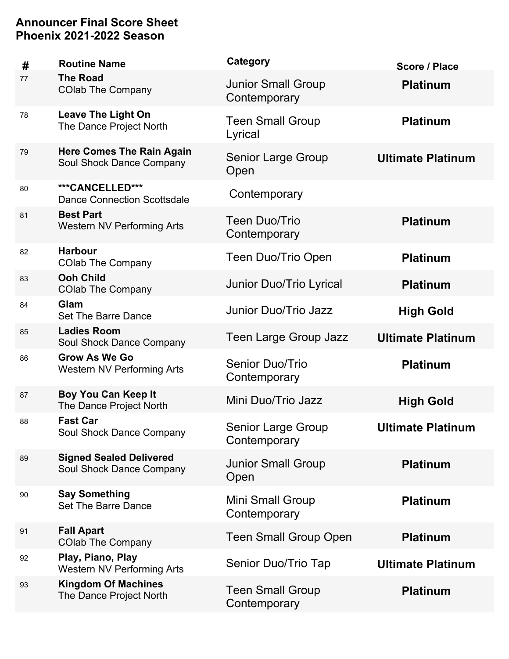| #  | <b>Routine Name</b>                                          | Category                                  | Score / Place            |
|----|--------------------------------------------------------------|-------------------------------------------|--------------------------|
| 77 | <b>The Road</b><br><b>COlab The Company</b>                  | <b>Junior Small Group</b><br>Contemporary | <b>Platinum</b>          |
| 78 | <b>Leave The Light On</b><br>The Dance Project North         | <b>Teen Small Group</b><br>Lyrical        | <b>Platinum</b>          |
| 79 | <b>Here Comes The Rain Again</b><br>Soul Shock Dance Company | <b>Senior Large Group</b><br>Open         | <b>Ultimate Platinum</b> |
| 80 | ***CANCELLED***<br><b>Dance Connection Scottsdale</b>        | Contemporary                              |                          |
| 81 | <b>Best Part</b><br><b>Western NV Performing Arts</b>        | <b>Teen Duo/Trio</b><br>Contemporary      | <b>Platinum</b>          |
| 82 | <b>Harbour</b><br><b>COlab The Company</b>                   | Teen Duo/Trio Open                        | <b>Platinum</b>          |
| 83 | <b>Ooh Child</b><br><b>COlab The Company</b>                 | Junior Duo/Trio Lyrical                   | <b>Platinum</b>          |
| 84 | Glam<br>Set The Barre Dance                                  | Junior Duo/Trio Jazz                      | <b>High Gold</b>         |
| 85 | <b>Ladies Room</b><br>Soul Shock Dance Company               | <b>Teen Large Group Jazz</b>              | <b>Ultimate Platinum</b> |
| 86 | <b>Grow As We Go</b><br><b>Western NV Performing Arts</b>    | <b>Senior Duo/Trio</b><br>Contemporary    | <b>Platinum</b>          |
| 87 | <b>Boy You Can Keep It</b><br>The Dance Project North        | Mini Duo/Trio Jazz                        | <b>High Gold</b>         |
| 88 | <b>Fast Car</b><br>Soul Shock Dance Company                  | <b>Senior Large Group</b><br>Contemporary | <b>Ultimate Platinum</b> |
| 89 | <b>Signed Sealed Delivered</b><br>Soul Shock Dance Company   | <b>Junior Small Group</b><br>Open         | <b>Platinum</b>          |
| 90 | <b>Say Something</b><br><b>Set The Barre Dance</b>           | Mini Small Group<br>Contemporary          | <b>Platinum</b>          |
| 91 | <b>Fall Apart</b><br><b>COlab The Company</b>                | <b>Teen Small Group Open</b>              | <b>Platinum</b>          |
| 92 | Play, Piano, Play<br><b>Western NV Performing Arts</b>       | Senior Duo/Trio Tap                       | <b>Ultimate Platinum</b> |
| 93 | <b>Kingdom Of Machines</b><br>The Dance Project North        | <b>Teen Small Group</b><br>Contemporary   | <b>Platinum</b>          |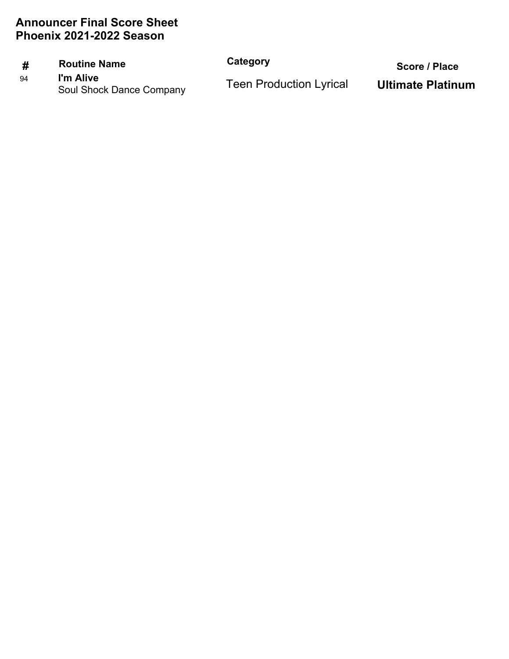### **# Routine Name Category**

94 **I'm Alive**<br>Soul Shock Dance Company **Its Elect Production Lyrical** Ultimate Platinum Soul Shock Dance Company

 **Score / Place**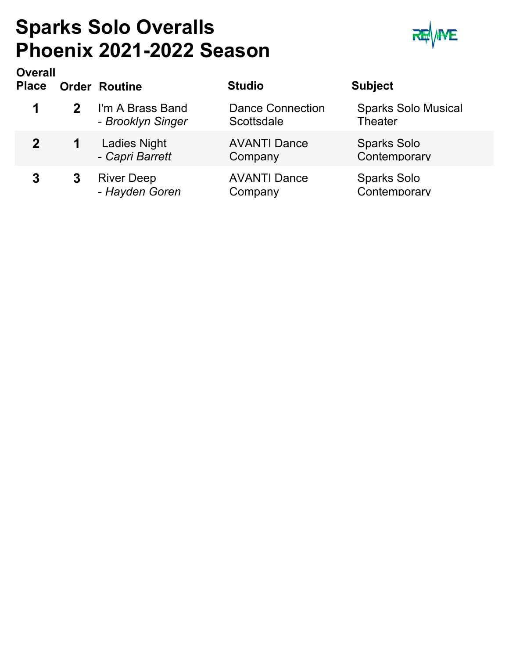### **Sparks Solo Overalls Phoenix 2021-2022 Season**



| <b>Overall</b><br><b>Place</b> |                | <b>Order Routine</b>                   | <b>Studio</b>                         | <b>Subject</b>                               |
|--------------------------------|----------------|----------------------------------------|---------------------------------------|----------------------------------------------|
| 1                              | 2 <sup>1</sup> | I'm A Brass Band<br>- Brooklyn Singer  | <b>Dance Connection</b><br>Scottsdale | <b>Sparks Solo Musical</b><br><b>Theater</b> |
| $\mathbf{2}$                   | $\mathbf 1$    | <b>Ladies Night</b><br>- Capri Barrett | <b>AVANTI Dance</b><br>Company        | <b>Sparks Solo</b><br>Contemporary           |
| 3                              | 3              | <b>River Deep</b><br>- Hayden Goren    | <b>AVANTI Dance</b><br>Company        | <b>Sparks Solo</b><br>Contemporary           |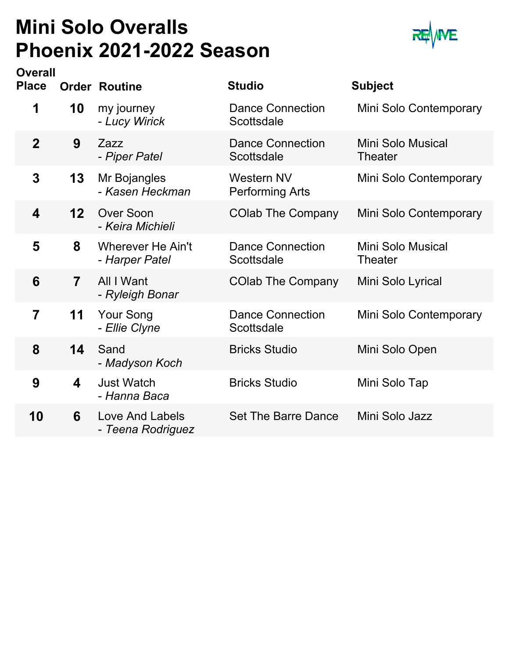### **Mini Solo Overalls Phoenix 2021-2022 Season**



| <b>Overall</b><br><b>Place</b> |                         | <b>Order Routine</b>                       | <b>Studio</b>                               | <b>Subject</b>                      |
|--------------------------------|-------------------------|--------------------------------------------|---------------------------------------------|-------------------------------------|
| 1                              | 10                      | my journey<br>- Lucy Wirick                | <b>Dance Connection</b><br>Scottsdale       | Mini Solo Contemporary              |
| $\overline{2}$                 | 9                       | Zazz<br>- Piper Patel                      | <b>Dance Connection</b><br>Scottsdale       | <b>Mini Solo Musical</b><br>Theater |
| 3                              | 13                      | Mr Bojangles<br>- Kasen Heckman            | <b>Western NV</b><br><b>Performing Arts</b> | Mini Solo Contemporary              |
| 4                              | 12                      | <b>Over Soon</b><br>- Keira Michieli       | <b>COlab The Company</b>                    | Mini Solo Contemporary              |
| 5                              | 8                       | <b>Wherever He Ain't</b><br>- Harper Patel | <b>Dance Connection</b><br>Scottsdale       | Mini Solo Musical<br><b>Theater</b> |
| 6                              | $\overline{7}$          | All I Want<br>- Ryleigh Bonar              | <b>COlab The Company</b>                    | Mini Solo Lyrical                   |
| 7                              | 11                      | <b>Your Song</b><br>- Ellie Clyne          | <b>Dance Connection</b><br>Scottsdale       | Mini Solo Contemporary              |
| 8                              | 14                      | Sand<br>- Madyson Koch                     | <b>Bricks Studio</b>                        | Mini Solo Open                      |
| 9                              | $\overline{\mathbf{4}}$ | <b>Just Watch</b><br>- Hanna Baca          | <b>Bricks Studio</b>                        | Mini Solo Tap                       |
| 10                             | 6                       | Love And Labels<br>- Teena Rodriguez       | Set The Barre Dance                         | Mini Solo Jazz                      |
|                                |                         |                                            |                                             |                                     |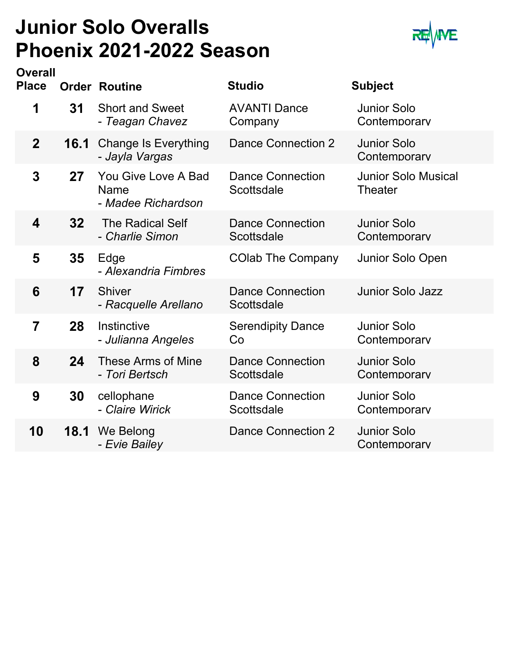### **Junior Solo Overalls Phoenix 2021-2022 Season**



| <b>Overall</b><br><b>Place</b> |      | <b>Order Routine</b>                                     | <b>Studio</b>                         | <b>Subject</b>                               |
|--------------------------------|------|----------------------------------------------------------|---------------------------------------|----------------------------------------------|
| 1                              | 31   | <b>Short and Sweet</b><br>- Teagan Chavez                | <b>AVANTI Dance</b><br>Company        | <b>Junior Solo</b><br>Contemporary           |
| $\overline{2}$                 | 16.1 | <b>Change Is Everything</b><br>- Jayla Vargas            | <b>Dance Connection 2</b>             | <b>Junior Solo</b><br>Contemporary           |
| 3                              | 27   | You Give Love A Bad<br><b>Name</b><br>- Madee Richardson | <b>Dance Connection</b><br>Scottsdale | <b>Junior Solo Musical</b><br><b>Theater</b> |
| $\overline{\mathbf{4}}$        | 32   | <b>The Radical Self</b><br>- Charlie Simon               | <b>Dance Connection</b><br>Scottsdale | <b>Junior Solo</b><br>Contemporary           |
| 5                              | 35   | Edge<br>- Alexandria Fimbres                             | <b>COlab The Company</b>              | Junior Solo Open                             |
| 6                              | 17   | <b>Shiver</b><br>- Racquelle Arellano                    | <b>Dance Connection</b><br>Scottsdale | <b>Junior Solo Jazz</b>                      |
| 7                              | 28   | Instinctive<br>- Julianna Angeles                        | <b>Serendipity Dance</b><br>Co        | <b>Junior Solo</b><br>Contemporarv           |
| 8                              | 24   | These Arms of Mine<br>- Tori Bertsch                     | <b>Dance Connection</b><br>Scottsdale | <b>Junior Solo</b><br>Contemporary           |
| 9                              | 30   | cellophane<br>- Claire Wirick                            | <b>Dance Connection</b><br>Scottsdale | <b>Junior Solo</b><br>Contemporary           |
| 10                             | 18.1 | We Belong<br>- Evie Bailey                               | <b>Dance Connection 2</b>             | <b>Junior Solo</b><br>Contemporary           |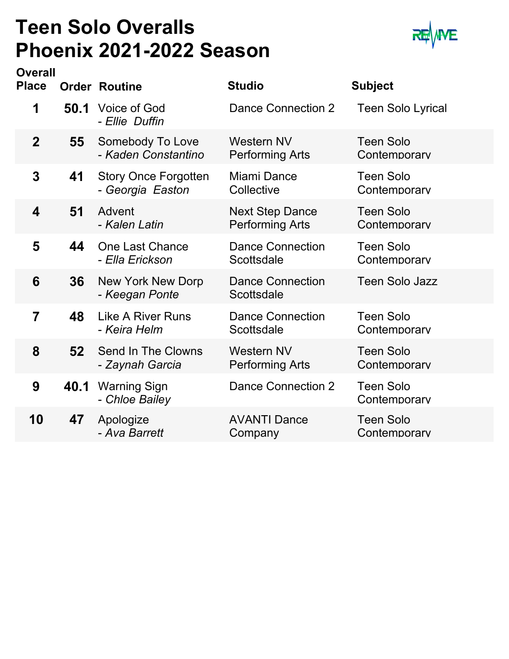### **Teen Solo Overalls Phoenix 2021-2022 Season**



| <b>Overall</b> |      |                                                 |                                                  |                                  |
|----------------|------|-------------------------------------------------|--------------------------------------------------|----------------------------------|
| <b>Place</b>   |      | <b>Order Routine</b>                            | <b>Studio</b>                                    | <b>Subject</b>                   |
| 1              | 50.1 | Voice of God<br>- Ellie Duffin                  | Dance Connection 2                               | <b>Teen Solo Lyrical</b>         |
| $\overline{2}$ | 55   | Somebody To Love<br>- Kaden Constantino         | Western NV<br><b>Performing Arts</b>             | <b>Teen Solo</b><br>Contemporary |
| 3              | 41   | <b>Story Once Forgotten</b><br>- Georgia Easton | Miami Dance<br>Collective                        | <b>Teen Solo</b><br>Contemporary |
| 4              | 51   | Advent<br>- Kalen Latin                         | <b>Next Step Dance</b><br><b>Performing Arts</b> | <b>Teen Solo</b><br>Contemporary |
| 5              | 44   | <b>One Last Chance</b><br>- Ella Erickson       | <b>Dance Connection</b><br>Scottsdale            | <b>Teen Solo</b><br>Contemporary |
| 6              | 36   | New York New Dorp<br>- Keegan Ponte             | <b>Dance Connection</b><br>Scottsdale            | <b>Teen Solo Jazz</b>            |
| 7              | 48   | <b>Like A River Runs</b><br>- Keira Helm        | <b>Dance Connection</b><br>Scottsdale            | <b>Teen Solo</b><br>Contemporary |
| 8              | 52   | Send In The Clowns<br>- Zaynah Garcia           | <b>Western NV</b><br><b>Performing Arts</b>      | <b>Teen Solo</b><br>Contemporary |
| 9              | 40.1 | Warning Sign<br>- Chloe Bailey                  | <b>Dance Connection 2</b>                        | <b>Teen Solo</b><br>Contemporary |
| 10             | 47   | Apologize<br>- Ava Barrett                      | <b>AVANTI Dance</b><br>Company                   | <b>Teen Solo</b><br>Contemporarv |
|                |      |                                                 |                                                  |                                  |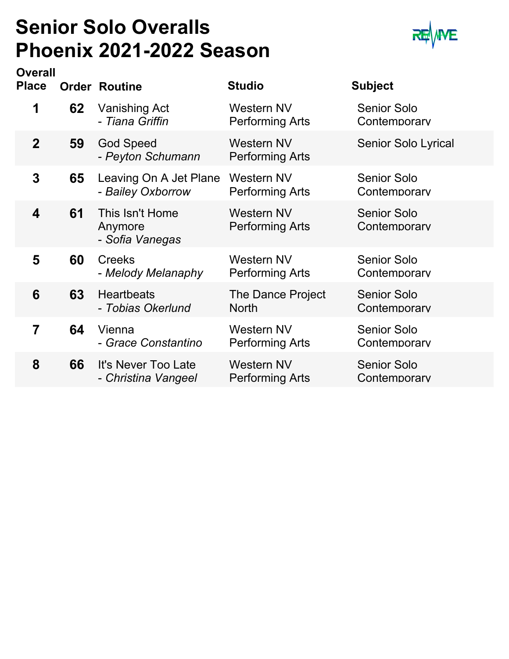### **Senior Solo Overalls Phoenix 2021-2022 Season**



| <b>Overall</b><br><b>Place</b> |    | <b>Order Routine</b>                          | <b>Studio</b>                               | <b>Subject</b>                     |
|--------------------------------|----|-----------------------------------------------|---------------------------------------------|------------------------------------|
| 1                              | 62 | <b>Vanishing Act</b><br>- Tiana Griffin       | <b>Western NV</b><br><b>Performing Arts</b> | <b>Senior Solo</b><br>Contemporarv |
| $\mathbf 2$                    | 59 | <b>God Speed</b><br>- Peyton Schumann         | <b>Western NV</b><br><b>Performing Arts</b> | <b>Senior Solo Lyrical</b>         |
| 3                              | 65 | Leaving On A Jet Plane<br>- Bailey Oxborrow   | Western NV<br><b>Performing Arts</b>        | <b>Senior Solo</b><br>Contemporary |
| $\overline{\mathbf{4}}$        | 61 | This Isn't Home<br>Anymore<br>- Sofia Vanegas | <b>Western NV</b><br>Performing Arts        | <b>Senior Solo</b><br>Contemporary |
| 5                              | 60 | <b>Creeks</b><br>- Melody Melanaphy           | <b>Western NV</b><br><b>Performing Arts</b> | <b>Senior Solo</b><br>Contemporarv |
| 6                              | 63 | <b>Heartbeats</b><br>- Tobias Okerlund        | The Dance Project<br><b>North</b>           | <b>Senior Solo</b><br>Contemporary |
| 7                              | 64 | Vienna<br>- Grace Constantino                 | <b>Western NV</b><br><b>Performing Arts</b> | Senior Solo<br>Contemporarv        |
| 8                              | 66 | It's Never Too Late<br>- Christina Vangeel    | <b>Western NV</b><br>Performing Arts        | <b>Senior Solo</b><br>Contemporarv |
|                                |    |                                               |                                             |                                    |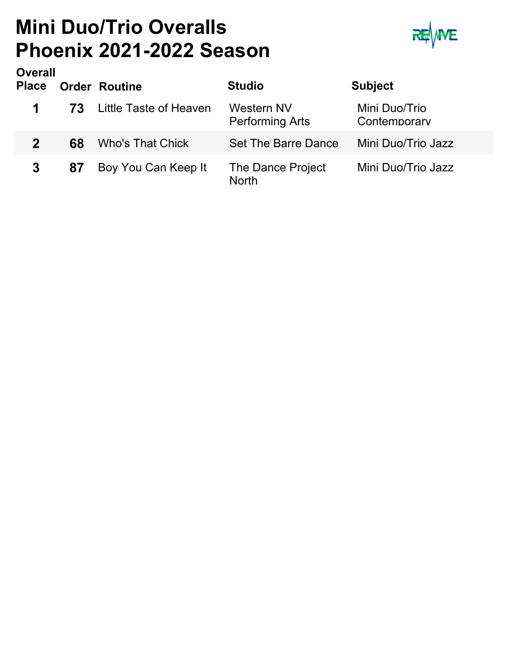### **Mini Duo/Trio Overalls Phoenix 2021-2022 Season**



| <b>Overall</b><br><b>Place</b> |    | <b>Order Routine</b>    | <b>Studio</b>                               | <b>Subject</b>                |
|--------------------------------|----|-------------------------|---------------------------------------------|-------------------------------|
| 1                              | 73 | Little Taste of Heaven  | <b>Western NV</b><br><b>Performing Arts</b> | Mini Duo/Trio<br>Contemporary |
| $\mathbf 2$                    | 68 | <b>Who's That Chick</b> | Set The Barre Dance                         | Mini Duo/Trio Jazz            |
| 3                              | 87 | Boy You Can Keep It     | The Dance Project<br><b>North</b>           | Mini Duo/Trio Jazz            |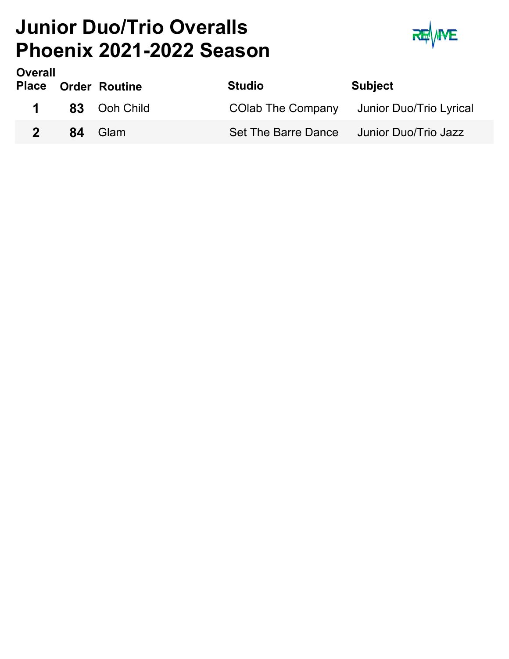### **Junior Duo/Trio Overalls Phoenix 2021-2022 Season**



| Overall     | <b>Place Order Routine</b> | <b>Studio</b> | <b>Subject</b>                            |
|-------------|----------------------------|---------------|-------------------------------------------|
|             | 1 83 Ooh Child             |               | COlab The Company Junior Duo/Trio Lyrical |
| $2^{\circ}$ | 84 Glam                    |               | Set The Barre Dance Junior Duo/Trio Jazz  |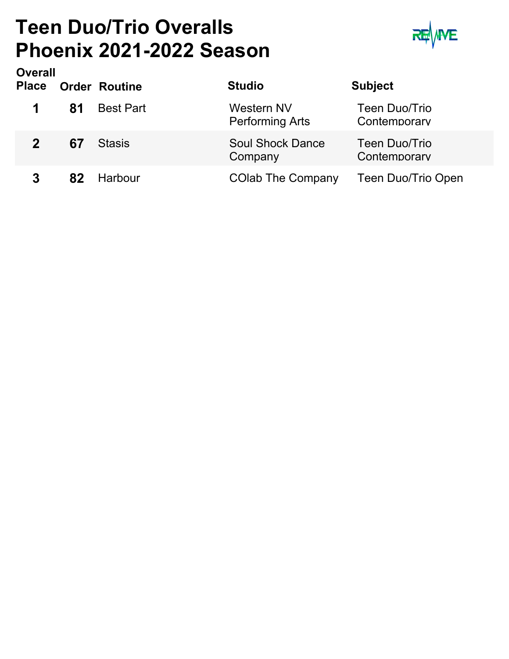### **Teen Duo/Trio Overalls Phoenix 2021-2022 Season**



| <b>Overall</b><br><b>Place</b> |    | <b>Order Routine</b> | <b>Studio</b>                               | <b>Subject</b>                |
|--------------------------------|----|----------------------|---------------------------------------------|-------------------------------|
|                                | 81 | <b>Best Part</b>     | <b>Western NV</b><br><b>Performing Arts</b> | Teen Duo/Trio<br>Contemporary |
|                                | 67 | Stasis               | <b>Soul Shock Dance</b><br>Company          | Teen Duo/Trio<br>Contemporary |
|                                | 82 | Harbour              | <b>COlab The Company</b>                    | Teen Duo/Trio Open            |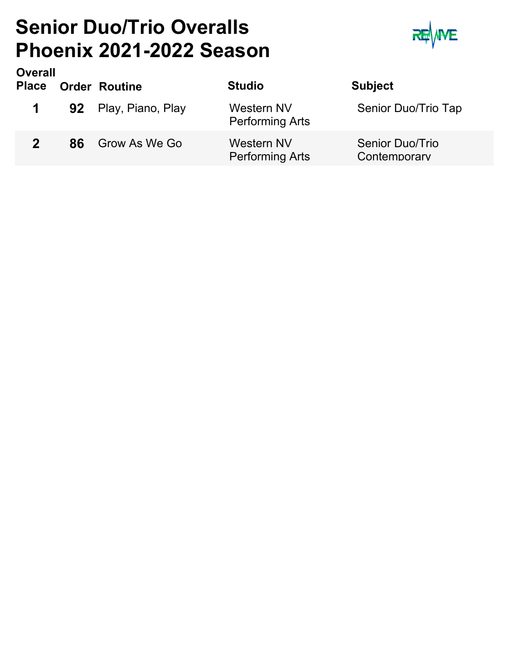### **Senior Duo/Trio Overalls Phoenix 2021-2022 Season**



| <b>Overall</b><br><b>Place</b> |    | <b>Order Routine</b> | <b>Studio</b>                        | <b>Subject</b>                  |
|--------------------------------|----|----------------------|--------------------------------------|---------------------------------|
| $\mathbf 1$                    |    | 92 Play, Piano, Play | Western NV<br><b>Performing Arts</b> | Senior Duo/Trio Tap             |
| 2 <sup>1</sup>                 | 86 | Grow As We Go        | Western NV<br><b>Performing Arts</b> | Senior Duo/Trio<br>Contemporary |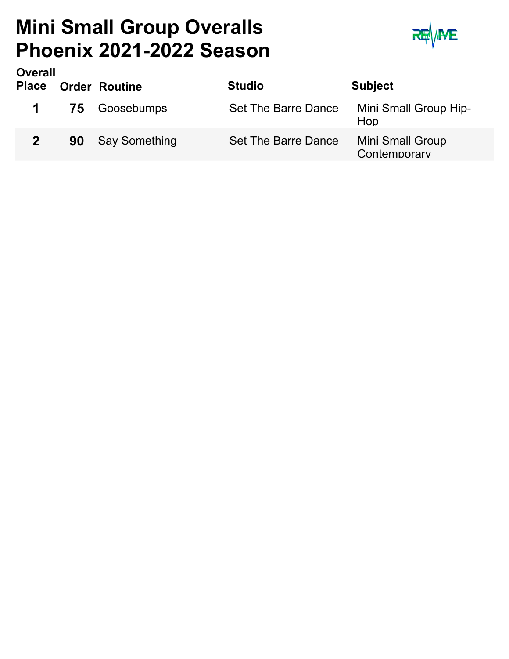### **Mini Small Group Overalls Phoenix 2021-2022 Season**



| <b>Overall</b><br><b>Place</b> |    | <b>Order Routine</b> | <b>Studio</b>       | <b>Subject</b>                          |
|--------------------------------|----|----------------------|---------------------|-----------------------------------------|
|                                |    | <b>75</b> Goosebumps | Set The Barre Dance | Mini Small Group Hip-<br>Hop            |
|                                | 90 | <b>Say Something</b> | Set The Barre Dance | <b>Mini Small Group</b><br>Contemporary |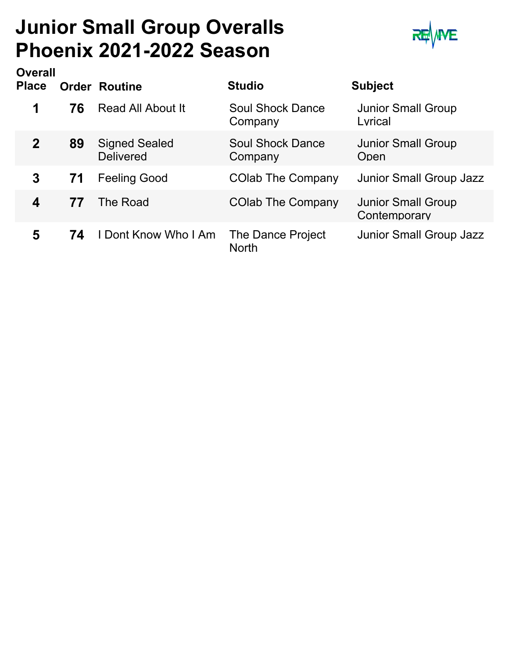### **Junior Small Group Overalls Phoenix 2021-2022 Season**



| <b>Overall</b><br><b>Place</b> |    | <b>Order Routine</b>                     | <b>Studio</b>                      | <b>Subject</b>                            |
|--------------------------------|----|------------------------------------------|------------------------------------|-------------------------------------------|
| 1                              | 76 | Read All About It                        | <b>Soul Shock Dance</b><br>Company | <b>Junior Small Group</b><br>Lyrical      |
| $\mathbf{2}$                   | 89 | <b>Signed Sealed</b><br><b>Delivered</b> | Soul Shock Dance<br>Company        | <b>Junior Small Group</b><br>Open         |
| 3                              | 71 | <b>Feeling Good</b>                      | <b>COlab The Company</b>           | <b>Junior Small Group Jazz</b>            |
| 4                              | 77 | The Road                                 | <b>COlab The Company</b>           | <b>Junior Small Group</b><br>Contemporary |
| 5                              | 74 | <b>I Dont Know Who I Am</b>              | The Dance Project<br><b>North</b>  | Junior Small Group Jazz                   |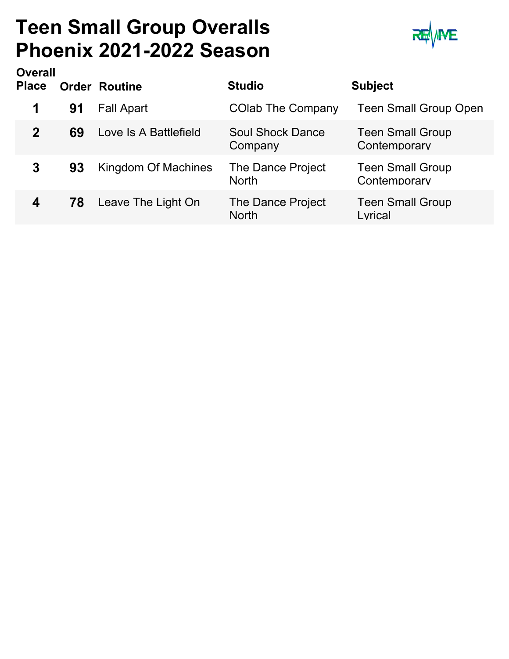### **Teen Small Group Overalls Phoenix 2021-2022 Season**



| <b>Overall</b> |    |                       |                                    |                                         |
|----------------|----|-----------------------|------------------------------------|-----------------------------------------|
| <b>Place</b>   |    | <b>Order Routine</b>  | <b>Studio</b>                      | <b>Subject</b>                          |
|                | 91 | <b>Fall Apart</b>     | <b>COlab The Company</b>           | <b>Teen Small Group Open</b>            |
| $\mathbf 2$    | 69 | Love Is A Battlefield | <b>Soul Shock Dance</b><br>Company | <b>Teen Small Group</b><br>Contemporary |
| 3              | 93 | Kingdom Of Machines   | The Dance Project<br><b>North</b>  | <b>Teen Small Group</b><br>Contemporary |
| 4              | 78 | Leave The Light On    | The Dance Project<br><b>North</b>  | <b>Teen Small Group</b><br>Lvrical      |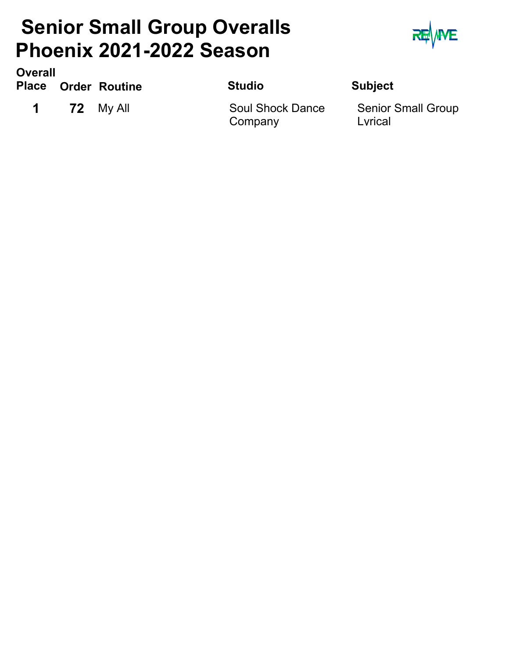### **Senior Small Group Overalls Phoenix 2021-2022 Season**



**Order Routine Studio Subject Place Overall**

**1 72** My All

Soul Shock Dance **Company** 

Senior Small Group Lyrical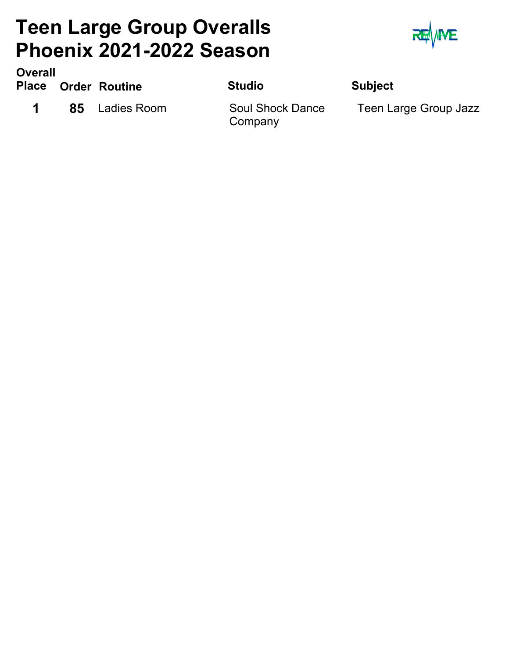### **Teen Large Group Overalls Phoenix 2021-2022 Season**



**Order Routine Studio Subject Overall Place**

**1 85** Ladies Room

**Company** 

Soul Shock Dance Teen Large Group Jazz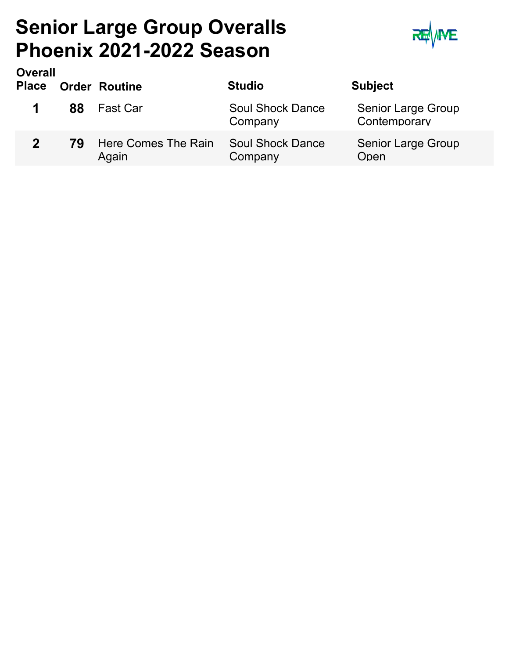### **Senior Large Group Overalls Phoenix 2021-2022 Season**



| <b>Overall</b><br><b>Place</b> |    | <b>Order Routine</b>         | <b>Studio</b>                      | <b>Subject</b>                     |
|--------------------------------|----|------------------------------|------------------------------------|------------------------------------|
|                                | 88 | <b>Fast Car</b>              | <b>Soul Shock Dance</b><br>Company | Senior Large Group<br>Contemporary |
| $\mathbf{p}$                   | 79 | Here Comes The Rain<br>Again | <b>Soul Shock Dance</b><br>Company | <b>Senior Large Group</b><br>Open  |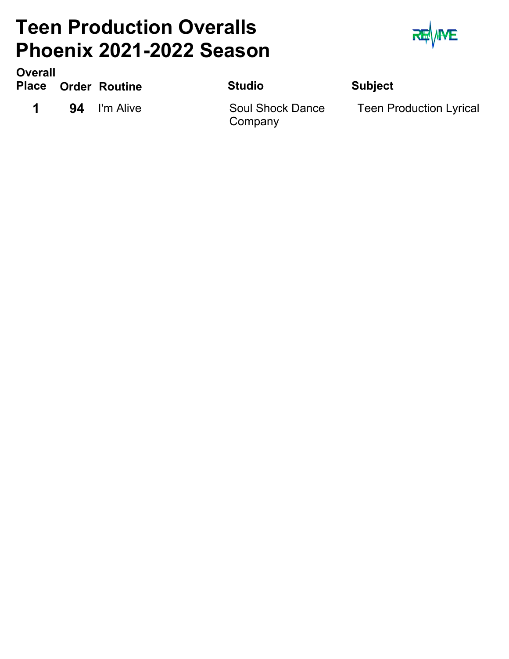### **Teen Production Overalls Phoenix 2021-2022 Season**



**Order Routine Studio Subject Place Overall**

**1 94** I'm Alive

**Company** 

Soul Shock Dance Teen Production Lyrical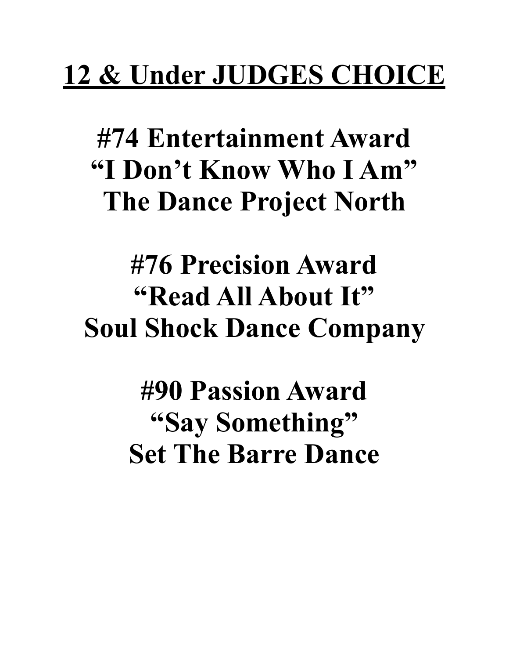## **12 & Under JUDGES CHOICE**

**#74 Entertainment Award "I Don't Know Who I Am" The Dance Project North** 

## **#76 Precision Award "Read All About It" Soul Shock Dance Company**

**#90 Passion Award "Say Something" Set The Barre Dance**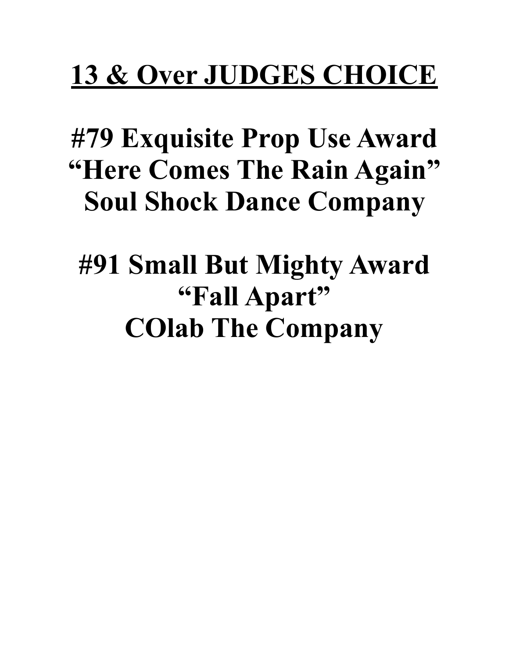# **13 & Over JUDGES CHOICE**

## **#79 Exquisite Prop Use Award "Here Comes The Rain Again" Soul Shock Dance Company**

## **#91 Small But Mighty Award "Fall Apart" COlab The Company**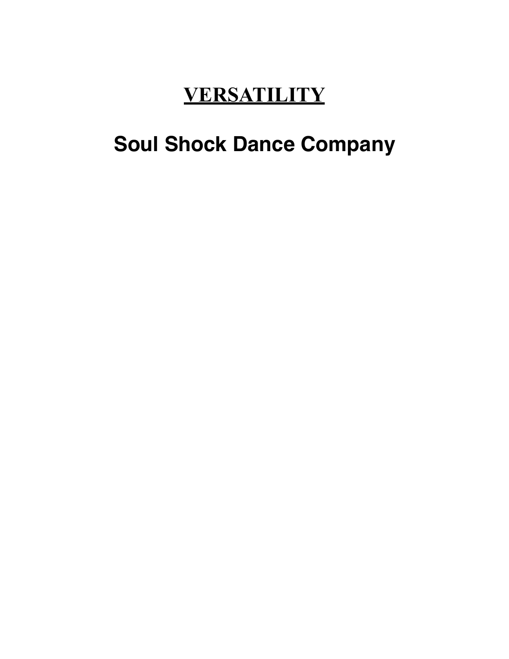### **VERSATILITY**

### **Soul Shock Dance Company**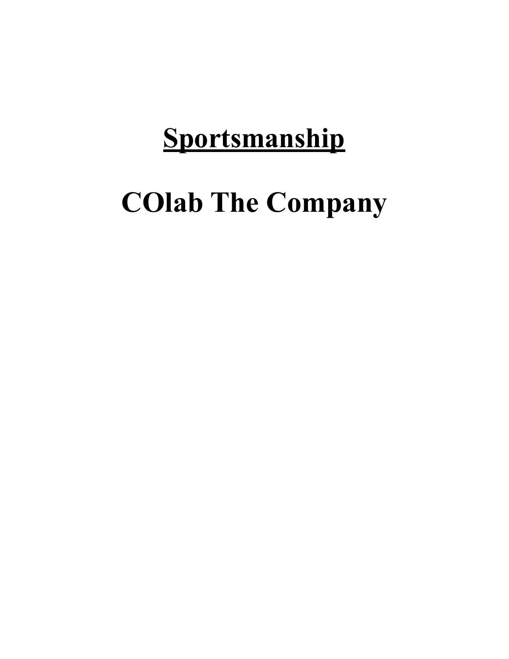## **Sportsmanship**

# **COlab The Company**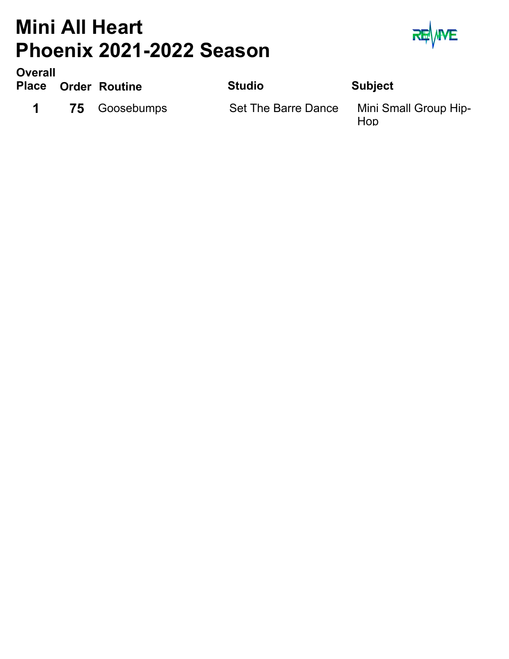### **Mini All Heart Phoenix 2021-2022 Season**



**Order Routine Studio Subject Place Overall**

1 75 Goosebumps Set The Barre Dance

Mini Small Group Hip-Hop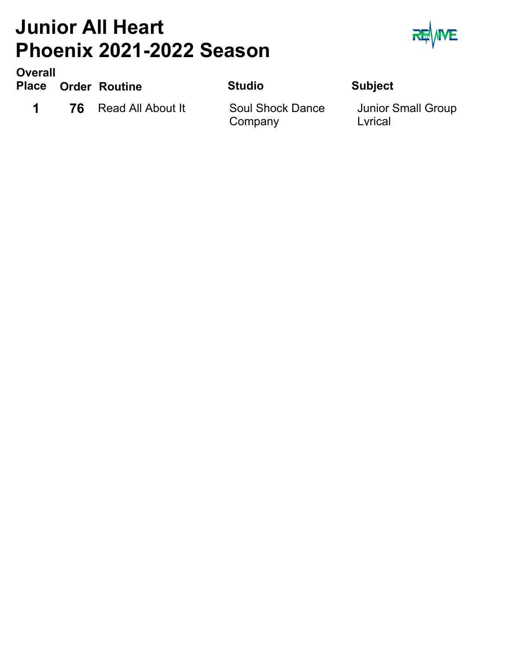### **Junior All Heart Phoenix 2021-2022 Season**



**Overall**

**Order Routine Studio Subject Place**

**1 76** Read All About It

Soul Shock Dance Company

Junior Small Group Lyrical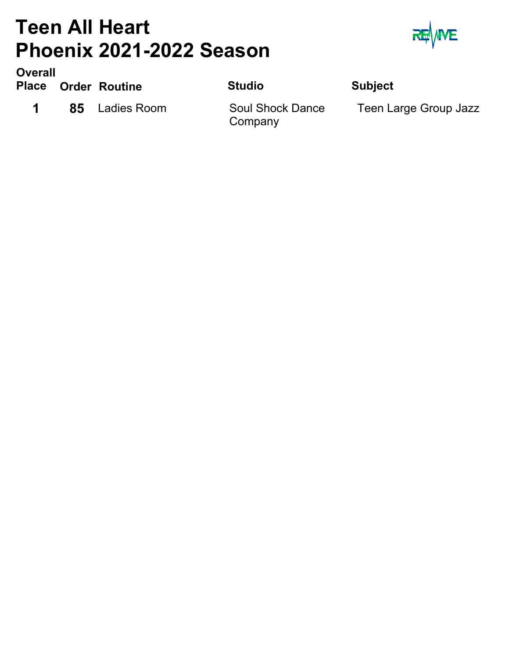### **Teen All Heart Phoenix 2021-2022 Season**



**Order Routine Studio Subject Place Overall**

**1 85** Ladies Room

**Company** 

Soul Shock Dance Teen Large Group Jazz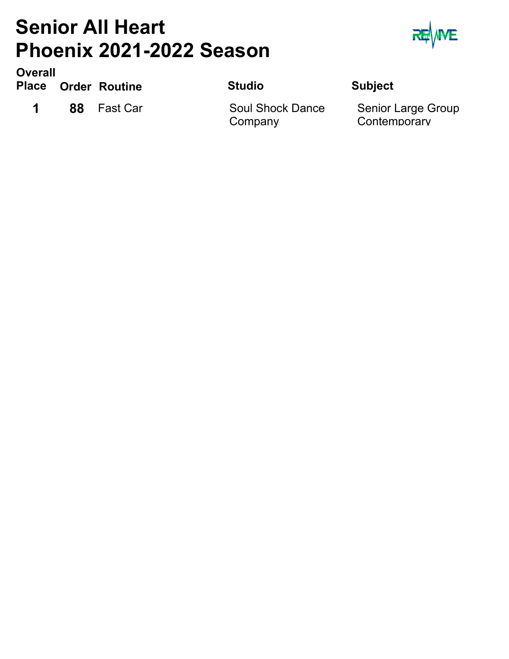### **Senior All Heart Phoenix 2021-2022 Season**



**Order Routine Studio Subject Place Overall**

**1 88** Fast Car

Soul Shock Dance Company

Senior Large Group **Contemporary**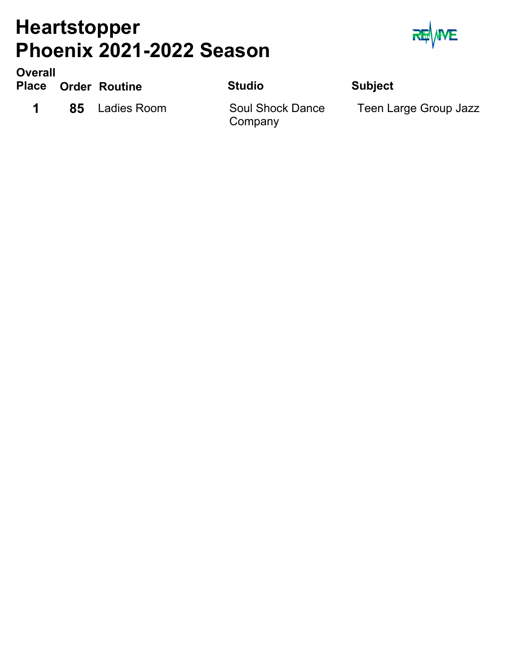### **Heartstopper Phoenix 2021-2022 Season**



**Order Routine Studio Subject Place Overall**

**1 85** Ladies Room

**Company** 

Soul Shock Dance Teen Large Group Jazz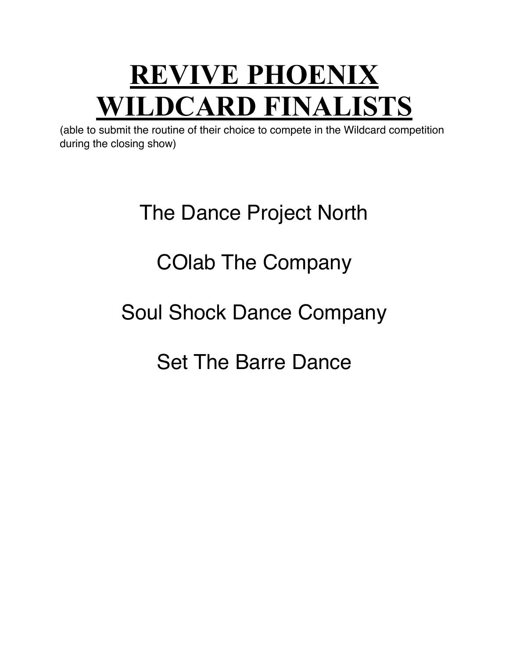## **REVIVE PHOENIX WILDCARD FINALISTS**

(able to submit the routine of their choice to compete in the Wildcard competition during the closing show)

## The Dance Project North

### COlab The Company

### Soul Shock Dance Company

### Set The Barre Dance